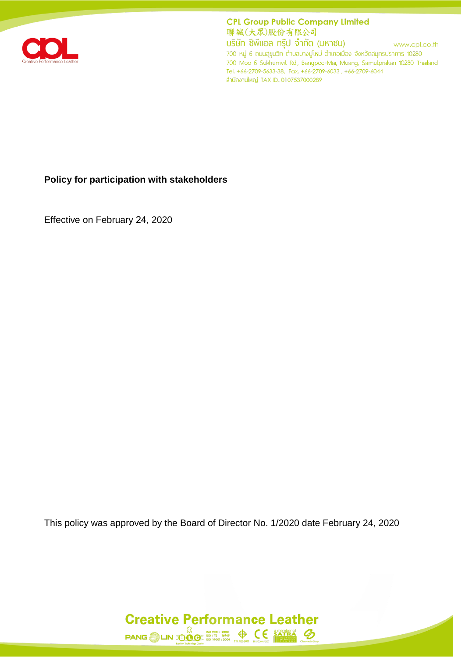

**CPL Group Public Company Limited** 聯誠(大眾)股份有限公司

บริษัท ซีพีแอล กรุ๊ป จำกัด (มหาชน) www.cpl.co.th 700 หมู่ 6 ถนนสุขุมวิท ตำบลบางปูใหม่ อำเภอเมือง จังหวัดสมุทรปราการ 10280 700 Moo 6 Sukhumvit Rd., Bangpoo-Mai, Muang, Samutprakan 10280 Thailand Tel. +66-2709-5633-38, Fax. +66-2709-6033, +66-2709-6044 สำนักงานใหญ่ TAX ID. 0107537000289

#### **Policy for participation with stakeholders**

Effective on February 24, 2020

This policy was approved by the Board of Director No. 1/2020 date February 24, 2020

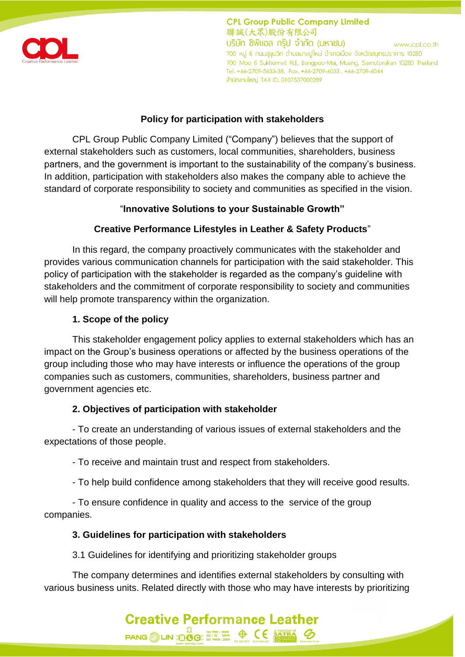

**CPL Group Public Company Limited** 聯誠(大眾)股份有限公司 บริษัท ซีพีแอล กร๊ป จำกัด (มหาชน) www.cpl.co.th 700 หมู่ 6 กนนสุขุมวิท ตำบลบางปูใหม่ อำเภอเมือง จังหวัดสมุทรปราการ 10280 700 Moo 6 Sukhumvit Rd., Bangpoo-Mai, Muang, Samutprakan 10280 Thailand Tel. +66-2709-5633-38, Fax. +66-2709-6033, +66-2709-6044 สำนักงานใหญ่ TAX ID. 0107537000289

## **Policy for participation with stakeholders**

CPL Group Public Company Limited ("Company") believes that the support of external stakeholders such as customers, local communities, shareholders, business partners, and the government is important to the sustainability of the company's business. In addition, participation with stakeholders also makes the company able to achieve the standard of corporate responsibility to society and communities as specified in the vision.

## "**Innovative Solutions to your Sustainable Growth"**

# **Creative Performance Lifestyles in Leather & Safety Products**"

In this regard, the company proactively communicates with the stakeholder and provides various communication channels for participation with the said stakeholder. This policy of participation with the stakeholder is regarded as the company's guideline with stakeholders and the commitment of corporate responsibility to society and communities will help promote transparency within the organization.

# **1. Scope of the policy**

This stakeholder engagement policy applies to external stakeholders which has an impact on the Group's business operations or affected by the business operations of the group including those who may have interests or influence the operations of the group companies such as customers, communities, shareholders, business partner and government agencies etc.

## **2. Objectives of participation with stakeholder**

- To create an understanding of various issues of external stakeholders and the expectations of those people.

- To receive and maintain trust and respect from stakeholders.

- To help build confidence among stakeholders that they will receive good results.

- To ensure confidence in quality and access to the service of the group companies.

# **3. Guidelines for participation with stakeholders**

3.1 Guidelines for identifying and prioritizing stakeholder groups

The company determines and identifies external stakeholders by consulting with various business units. Related directly with those who may have interests by prioritizing

**Creative Performance Leather** 

 $\text{PANG} \bigotimes \text{LIN} \underbrace{\overset{\text{f3}}{\bigcirc} \underset{\text{ISO} \text{ } 100 \text{ } 12000}{\bigcirc} \underset{\text{ISO} \text{ } 14001 : 2004}{\bigcirc} \underset{\text{BS 22-2011}}{\bigcirc} \bigotimes \underset{\text{BS 22-2011}}{\bigcirc} \underset{\text{BS 22-2011}}{\bigcirc} \underset{\text{BS 22-2011}}{\bigcirc} \underbrace{\bigcirc} \underset{\text{BS 22-2011}}{\bigcirc} \underset{\text{B} \text{ } 2000 \$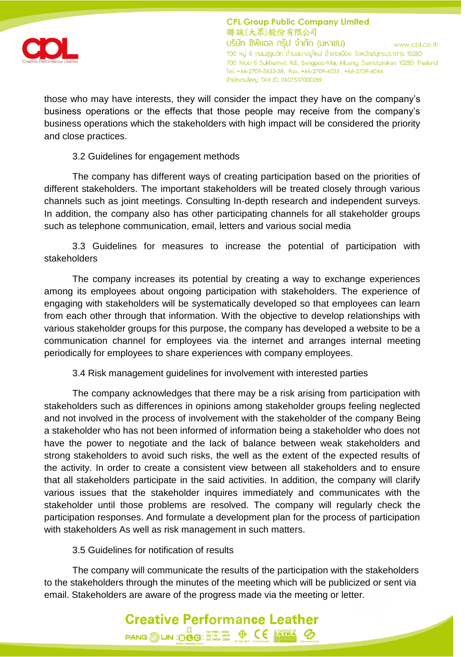

**CPL Group Public Company Limited** 聯誠(大眾)股份有限公司 บริษัท ซีพีแอล กร๊ป จำกัด (มหาชน) www.cpl.co.th 700 หมู่ 6 กนนสุขุมวิท ตำบลบางปูใหม่ อำเภอเมือง จังหวัดสมุทรปราการ 10280 700 Moo 6 Sukhumvit Rd., Bangpoo-Mai, Muang, Samutprakan 10280 Thailand Tel. +66-2709-5633-38, Fax. +66-2709-6033, +66-2709-6044 สำนักงานใหญ่ TAX ID. 0107537000289

those who may have interests, they will consider the impact they have on the company's business operations or the effects that those people may receive from the company's business operations which the stakeholders with high impact will be considered the priority and close practices.

### 3.2 Guidelines for engagement methods

The company has different ways of creating participation based on the priorities of different stakeholders. The important stakeholders will be treated closely through various channels such as joint meetings. Consulting In-depth research and independent surveys. In addition, the company also has other participating channels for all stakeholder groups such as telephone communication, email, letters and various social media

3.3 Guidelines for measures to increase the potential of participation with stakeholders

The company increases its potential by creating a way to exchange experiences among its employees about ongoing participation with stakeholders. The experience of engaging with stakeholders will be systematically developed so that employees can learn from each other through that information. With the objective to develop relationships with various stakeholder groups for this purpose, the company has developed a website to be a communication channel for employees via the internet and arranges internal meeting periodically for employees to share experiences with company employees.

3.4 Risk management guidelines for involvement with interested parties

The company acknowledges that there may be a risk arising from participation with stakeholders such as differences in opinions among stakeholder groups feeling neglected and not involved in the process of involvement with the stakeholder of the company Being a stakeholder who has not been informed of information being a stakeholder who does not have the power to negotiate and the lack of balance between weak stakeholders and strong stakeholders to avoid such risks, the well as the extent of the expected results of the activity. In order to create a consistent view between all stakeholders and to ensure that all stakeholders participate in the said activities. In addition, the company will clarify various issues that the stakeholder inquires immediately and communicates with the stakeholder until those problems are resolved. The company will regularly check the participation responses. And formulate a development plan for the process of participation with stakeholders As well as risk management in such matters.

#### 3.5 Guidelines for notification of results

The company will communicate the results of the participation with the stakeholders to the stakeholders through the minutes of the meeting which will be publicized or sent via email. Stakeholders are aware of the progress made via the meeting or letter.

**Creative Performance Leather** 

 $\text{PANG} \bigotimes \text{LIN} \bigoplus_{\text{SO} \text{OC}}^{\text{LO}} \bigoplus_{\text{SO} \text{ BLO} \atop \text{SO} \text{ BLO} \atop \text{SO} \text{ BLO} \text{ BLO} \atop \text{SO} \text{ BLO} \text{ BLO} \text{ BLO} \text{ BLO} \text{ BLO}}^{\text{LO} \text{ BLO} \text{ BLO} \text{ BLO} \text{ BLO}}$